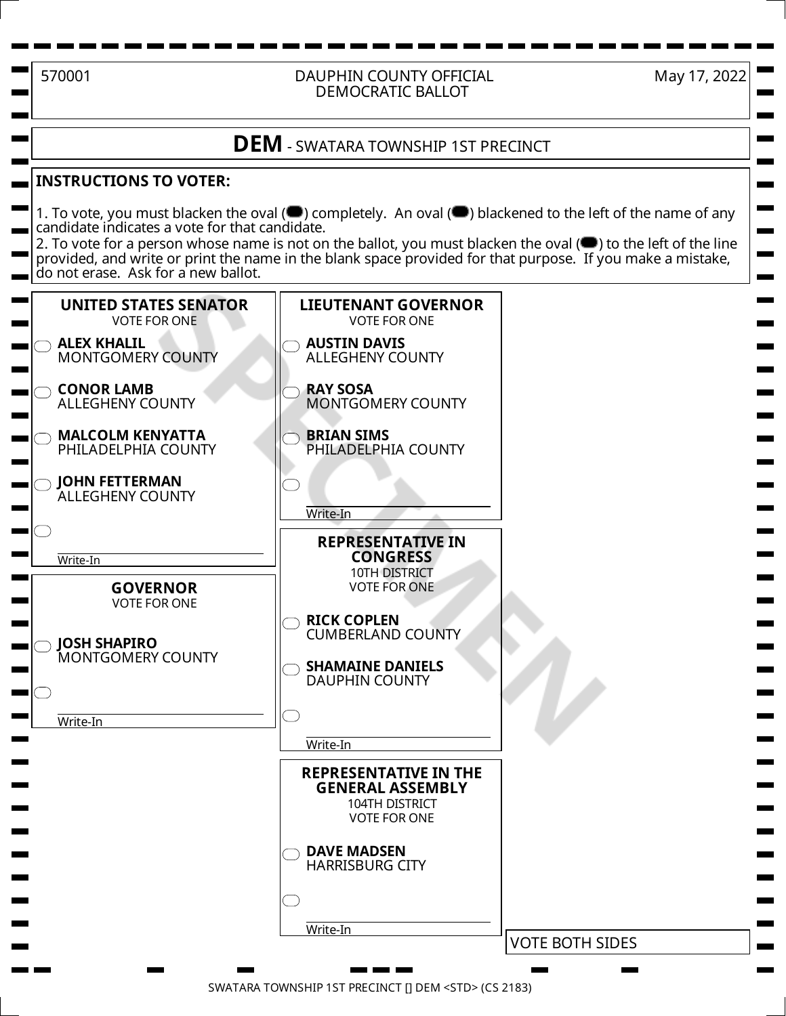## 570001 DAUPHIN COUNTY OFFICIAL DEMOCRATIC BALLOT

May 17, 2022

## **DEM** - SWATARA TOWNSHIP 1ST PRECINCT

## **INSTRUCTIONS TO VOTER:**

1. To vote, you must blacken the oval (O) completely. An oval (O) blackened to the left of the name of any candidate indicates a vote for that candidate.

2. To vote for a person whose name is not on the ballot, you must blacken the oval  $(\blacksquare)$  to the left of the line provided, and write or print the name in the blank space provided for that purpose. If you make a mistake, do not erase. Ask for a new ballot.